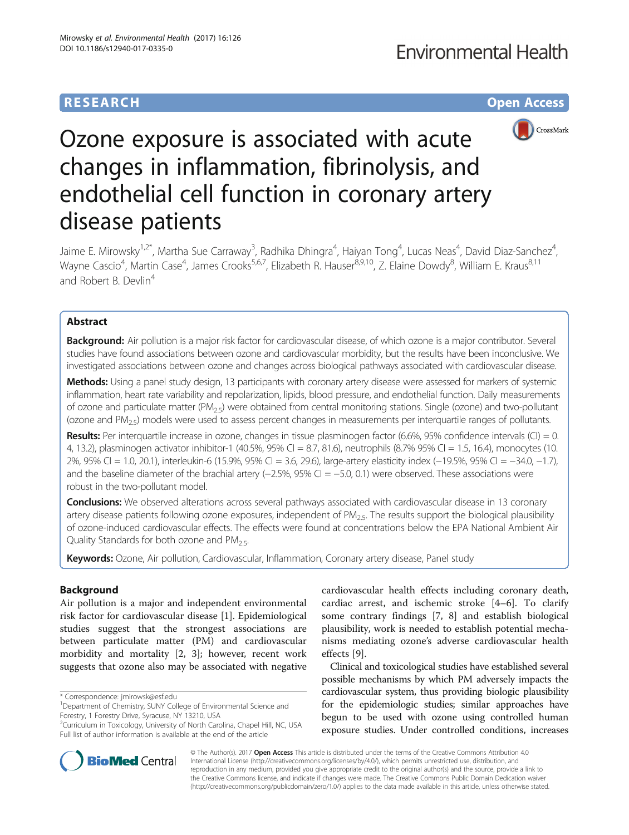## **RESEARCH CHE Open Access**



# Ozone exposure is associated with acute changes in inflammation, fibrinolysis, and endothelial cell function in coronary artery disease patients

Jaime E. Mirowsky<sup>1,2\*</sup>, Martha Sue Carraway<sup>3</sup>, Radhika Dhingra<sup>4</sup>, Haiyan Tong<sup>4</sup>, Lucas Neas<sup>4</sup>, David Diaz-Sanchez<sup>4</sup> , Wayne Cascio<sup>4</sup>, Martin Case<sup>4</sup>, James Crooks<sup>5,6,7</sup>, Elizabeth R. Hauser<sup>8,9,10</sup>, Z. Elaine Dowdy<sup>8</sup>, William E. Kraus<sup>8,11</sup> and Robert B. Devlin<sup>4</sup>

## Abstract

Background: Air pollution is a major risk factor for cardiovascular disease, of which ozone is a major contributor. Several studies have found associations between ozone and cardiovascular morbidity, but the results have been inconclusive. We investigated associations between ozone and changes across biological pathways associated with cardiovascular disease.

Methods: Using a panel study design, 13 participants with coronary artery disease were assessed for markers of systemic inflammation, heart rate variability and repolarization, lipids, blood pressure, and endothelial function. Daily measurements of ozone and particulate matter  $(PM_{2.5})$  were obtained from central monitoring stations. Single (ozone) and two-pollutant (ozone and PM2.5) models were used to assess percent changes in measurements per interquartile ranges of pollutants.

Results: Per interquartile increase in ozone, changes in tissue plasminogen factor (6.6%, 95% confidence intervals (CI) = 0. 4, 13.2), plasminogen activator inhibitor-1 (40.5%, 95% CI = 8.7, 81.6), neutrophils (8.7% 95% CI = 1.5, 16.4), monocytes (10. 2%, 95% CI = 1.0, 20.1), interleukin-6 (15.9%, 95% CI = 3.6, 29.6), large-artery elasticity index (−19.5%, 95% CI = −34.0, −1.7), and the baseline diameter of the brachial artery (−2.5%, 95% CI = −5.0, 0.1) were observed. These associations were robust in the two-pollutant model.

**Conclusions:** We observed alterations across several pathways associated with cardiovascular disease in 13 coronary artery disease patients following ozone exposures, independent of PM<sub>25</sub>. The results support the biological plausibility of ozone-induced cardiovascular effects. The effects were found at concentrations below the EPA National Ambient Air Quality Standards for both ozone and  $PM<sub>2.5</sub>$ .

Keywords: Ozone, Air pollution, Cardiovascular, Inflammation, Coronary artery disease, Panel study

## Background

Air pollution is a major and independent environmental risk factor for cardiovascular disease [\[1](#page-8-0)]. Epidemiological studies suggest that the strongest associations are between particulate matter (PM) and cardiovascular morbidity and mortality [[2, 3\]](#page-8-0); however, recent work suggests that ozone also may be associated with negative

\* Correspondence: [jmirowsk@esf.edu](mailto:jmirowsk@esf.edu) <sup>1</sup>

cardiovascular health effects including coronary death, cardiac arrest, and ischemic stroke [[4](#page-8-0)–[6](#page-8-0)]. To clarify some contrary findings [[7](#page-8-0), [8\]](#page-9-0) and establish biological plausibility, work is needed to establish potential mechanisms mediating ozone's adverse cardiovascular health effects [[9\]](#page-9-0).

Clinical and toxicological studies have established several possible mechanisms by which PM adversely impacts the cardiovascular system, thus providing biologic plausibility for the epidemiologic studies; similar approaches have begun to be used with ozone using controlled human exposure studies. Under controlled conditions, increases



© The Author(s). 2017 **Open Access** This article is distributed under the terms of the Creative Commons Attribution 4.0 International License [\(http://creativecommons.org/licenses/by/4.0/](http://creativecommons.org/licenses/by/4.0/)), which permits unrestricted use, distribution, and reproduction in any medium, provided you give appropriate credit to the original author(s) and the source, provide a link to the Creative Commons license, and indicate if changes were made. The Creative Commons Public Domain Dedication waiver [\(http://creativecommons.org/publicdomain/zero/1.0/](http://creativecommons.org/publicdomain/zero/1.0/)) applies to the data made available in this article, unless otherwise stated.

<sup>&</sup>lt;sup>1</sup>Department of Chemistry, SUNY College of Environmental Science and Forestry, 1 Forestry Drive, Syracuse, NY 13210, USA

<sup>&</sup>lt;sup>2</sup>Curriculum in Toxicology, University of North Carolina, Chapel Hill, NC, USA Full list of author information is available at the end of the article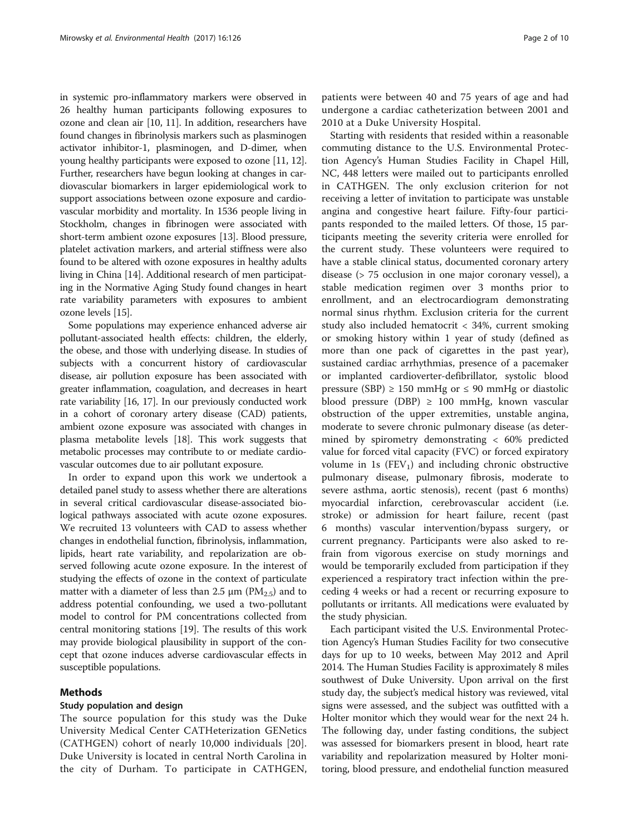in systemic pro-inflammatory markers were observed in 26 healthy human participants following exposures to ozone and clean air [\[10, 11\]](#page-9-0). In addition, researchers have found changes in fibrinolysis markers such as plasminogen activator inhibitor-1, plasminogen, and D-dimer, when young healthy participants were exposed to ozone [\[11](#page-9-0), [12](#page-9-0)]. Further, researchers have begun looking at changes in cardiovascular biomarkers in larger epidemiological work to support associations between ozone exposure and cardiovascular morbidity and mortality. In 1536 people living in Stockholm, changes in fibrinogen were associated with short-term ambient ozone exposures [[13](#page-9-0)]. Blood pressure, platelet activation markers, and arterial stiffness were also found to be altered with ozone exposures in healthy adults living in China [\[14\]](#page-9-0). Additional research of men participating in the Normative Aging Study found changes in heart rate variability parameters with exposures to ambient ozone levels [\[15\]](#page-9-0).

Some populations may experience enhanced adverse air pollutant-associated health effects: children, the elderly, the obese, and those with underlying disease. In studies of subjects with a concurrent history of cardiovascular disease, air pollution exposure has been associated with greater inflammation, coagulation, and decreases in heart rate variability [\[16, 17\]](#page-9-0). In our previously conducted work in a cohort of coronary artery disease (CAD) patients, ambient ozone exposure was associated with changes in plasma metabolite levels [[18](#page-9-0)]. This work suggests that metabolic processes may contribute to or mediate cardiovascular outcomes due to air pollutant exposure.

In order to expand upon this work we undertook a detailed panel study to assess whether there are alterations in several critical cardiovascular disease-associated biological pathways associated with acute ozone exposures. We recruited 13 volunteers with CAD to assess whether changes in endothelial function, fibrinolysis, inflammation, lipids, heart rate variability, and repolarization are observed following acute ozone exposure. In the interest of studying the effects of ozone in the context of particulate matter with a diameter of less than 2.5  $\mu$ m (PM<sub>2.5</sub>) and to address potential confounding, we used a two-pollutant model to control for PM concentrations collected from central monitoring stations [\[19](#page-9-0)]. The results of this work may provide biological plausibility in support of the concept that ozone induces adverse cardiovascular effects in susceptible populations.

## Methods

## Study population and design

The source population for this study was the Duke University Medical Center CATHeterization GENetics (CATHGEN) cohort of nearly 10,000 individuals [[20\]](#page-9-0). Duke University is located in central North Carolina in the city of Durham. To participate in CATHGEN, patients were between 40 and 75 years of age and had undergone a cardiac catheterization between 2001 and 2010 at a Duke University Hospital.

Starting with residents that resided within a reasonable commuting distance to the U.S. Environmental Protection Agency's Human Studies Facility in Chapel Hill, NC, 448 letters were mailed out to participants enrolled in CATHGEN. The only exclusion criterion for not receiving a letter of invitation to participate was unstable angina and congestive heart failure. Fifty-four participants responded to the mailed letters. Of those, 15 participants meeting the severity criteria were enrolled for the current study. These volunteers were required to have a stable clinical status, documented coronary artery disease (> 75 occlusion in one major coronary vessel), a stable medication regimen over 3 months prior to enrollment, and an electrocardiogram demonstrating normal sinus rhythm. Exclusion criteria for the current study also included hematocrit < 34%, current smoking or smoking history within 1 year of study (defined as more than one pack of cigarettes in the past year), sustained cardiac arrhythmias, presence of a pacemaker or implanted cardioverter-defibrillator, systolic blood pressure (SBP) ≥ 150 mmHg or  $≤$  90 mmHg or diastolic blood pressure (DBP) ≥ 100 mmHg, known vascular obstruction of the upper extremities, unstable angina, moderate to severe chronic pulmonary disease (as determined by spirometry demonstrating < 60% predicted value for forced vital capacity (FVC) or forced expiratory volume in 1s  $(FEV_1)$  and including chronic obstructive pulmonary disease, pulmonary fibrosis, moderate to severe asthma, aortic stenosis), recent (past 6 months) myocardial infarction, cerebrovascular accident (i.e. stroke) or admission for heart failure, recent (past 6 months) vascular intervention/bypass surgery, or current pregnancy. Participants were also asked to refrain from vigorous exercise on study mornings and would be temporarily excluded from participation if they experienced a respiratory tract infection within the preceding 4 weeks or had a recent or recurring exposure to pollutants or irritants. All medications were evaluated by the study physician.

Each participant visited the U.S. Environmental Protection Agency's Human Studies Facility for two consecutive days for up to 10 weeks, between May 2012 and April 2014. The Human Studies Facility is approximately 8 miles southwest of Duke University. Upon arrival on the first study day, the subject's medical history was reviewed, vital signs were assessed, and the subject was outfitted with a Holter monitor which they would wear for the next 24 h. The following day, under fasting conditions, the subject was assessed for biomarkers present in blood, heart rate variability and repolarization measured by Holter monitoring, blood pressure, and endothelial function measured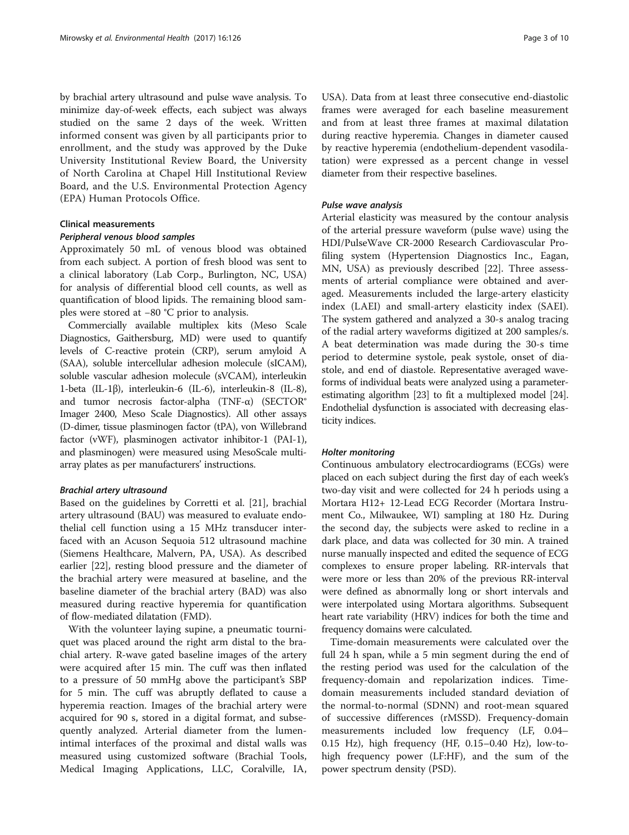by brachial artery ultrasound and pulse wave analysis. To minimize day-of-week effects, each subject was always studied on the same 2 days of the week. Written informed consent was given by all participants prior to enrollment, and the study was approved by the Duke University Institutional Review Board, the University of North Carolina at Chapel Hill Institutional Review Board, and the U.S. Environmental Protection Agency (EPA) Human Protocols Office.

## Clinical measurements

## Peripheral venous blood samples

Approximately 50 mL of venous blood was obtained from each subject. A portion of fresh blood was sent to a clinical laboratory (Lab Corp., Burlington, NC, USA) for analysis of differential blood cell counts, as well as quantification of blood lipids. The remaining blood samples were stored at −80 °C prior to analysis.

Commercially available multiplex kits (Meso Scale Diagnostics, Gaithersburg, MD) were used to quantify levels of C-reactive protein (CRP), serum amyloid A (SAA), soluble intercellular adhesion molecule (sICAM), soluble vascular adhesion molecule (sVCAM), interleukin 1-beta (IL-1β), interleukin-6 (IL-6), interleukin-8 (IL-8), and tumor necrosis factor-alpha (TNF-α) (SECTOR® Imager 2400, Meso Scale Diagnostics). All other assays (D-dimer, tissue plasminogen factor (tPA), von Willebrand factor (vWF), plasminogen activator inhibitor-1 (PAI-1), and plasminogen) were measured using MesoScale multiarray plates as per manufacturers' instructions.

## Brachial artery ultrasound

Based on the guidelines by Corretti et al. [[21\]](#page-9-0), brachial artery ultrasound (BAU) was measured to evaluate endothelial cell function using a 15 MHz transducer interfaced with an Acuson Sequoia 512 ultrasound machine (Siemens Healthcare, Malvern, PA, USA). As described earlier [[22](#page-9-0)], resting blood pressure and the diameter of the brachial artery were measured at baseline, and the baseline diameter of the brachial artery (BAD) was also measured during reactive hyperemia for quantification of flow-mediated dilatation (FMD).

With the volunteer laying supine, a pneumatic tourniquet was placed around the right arm distal to the brachial artery. R-wave gated baseline images of the artery were acquired after 15 min. The cuff was then inflated to a pressure of 50 mmHg above the participant's SBP for 5 min. The cuff was abruptly deflated to cause a hyperemia reaction. Images of the brachial artery were acquired for 90 s, stored in a digital format, and subsequently analyzed. Arterial diameter from the lumenintimal interfaces of the proximal and distal walls was measured using customized software (Brachial Tools, Medical Imaging Applications, LLC, Coralville, IA,

USA). Data from at least three consecutive end-diastolic frames were averaged for each baseline measurement and from at least three frames at maximal dilatation during reactive hyperemia. Changes in diameter caused by reactive hyperemia (endothelium-dependent vasodilatation) were expressed as a percent change in vessel diameter from their respective baselines.

## Pulse wave analysis

Arterial elasticity was measured by the contour analysis of the arterial pressure waveform (pulse wave) using the HDI/PulseWave CR-2000 Research Cardiovascular Profiling system (Hypertension Diagnostics Inc., Eagan, MN, USA) as previously described [[22\]](#page-9-0). Three assessments of arterial compliance were obtained and averaged. Measurements included the large-artery elasticity index (LAEI) and small-artery elasticity index (SAEI). The system gathered and analyzed a 30-s analog tracing of the radial artery waveforms digitized at 200 samples/s. A beat determination was made during the 30-s time period to determine systole, peak systole, onset of diastole, and end of diastole. Representative averaged waveforms of individual beats were analyzed using a parameterestimating algorithm [\[23\]](#page-9-0) to fit a multiplexed model [[24](#page-9-0)]. Endothelial dysfunction is associated with decreasing elasticity indices.

## Holter monitoring

Continuous ambulatory electrocardiograms (ECGs) were placed on each subject during the first day of each week's two-day visit and were collected for 24 h periods using a Mortara H12+ 12-Lead ECG Recorder (Mortara Instrument Co., Milwaukee, WI) sampling at 180 Hz. During the second day, the subjects were asked to recline in a dark place, and data was collected for 30 min. A trained nurse manually inspected and edited the sequence of ECG complexes to ensure proper labeling. RR-intervals that were more or less than 20% of the previous RR-interval were defined as abnormally long or short intervals and were interpolated using Mortara algorithms. Subsequent heart rate variability (HRV) indices for both the time and frequency domains were calculated.

Time-domain measurements were calculated over the full 24 h span, while a 5 min segment during the end of the resting period was used for the calculation of the frequency-domain and repolarization indices. Timedomain measurements included standard deviation of the normal-to-normal (SDNN) and root-mean squared of successive differences (rMSSD). Frequency-domain measurements included low frequency (LF, 0.04– 0.15 Hz), high frequency (HF, 0.15–0.40 Hz), low-tohigh frequency power (LF:HF), and the sum of the power spectrum density (PSD).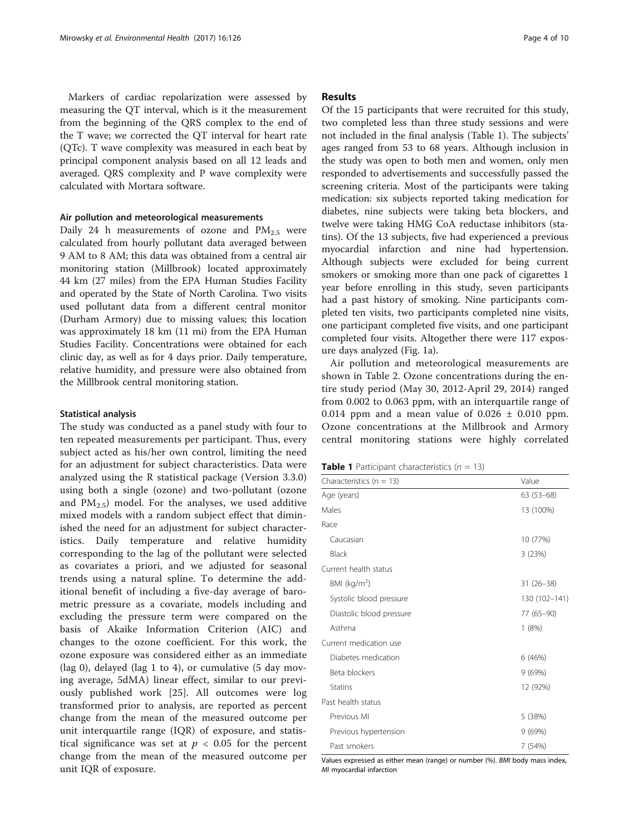Markers of cardiac repolarization were assessed by measuring the QT interval, which is it the measurement from the beginning of the QRS complex to the end of the T wave; we corrected the QT interval for heart rate (QTc). T wave complexity was measured in each beat by principal component analysis based on all 12 leads and averaged. QRS complexity and P wave complexity were calculated with Mortara software.

## Air pollution and meteorological measurements

Daily 24 h measurements of ozone and  $PM_{2.5}$  were calculated from hourly pollutant data averaged between 9 AM to 8 AM; this data was obtained from a central air monitoring station (Millbrook) located approximately 44 km (27 miles) from the EPA Human Studies Facility and operated by the State of North Carolina. Two visits used pollutant data from a different central monitor (Durham Armory) due to missing values; this location was approximately 18 km (11 mi) from the EPA Human Studies Facility. Concentrations were obtained for each clinic day, as well as for 4 days prior. Daily temperature, relative humidity, and pressure were also obtained from the Millbrook central monitoring station.

## Statistical analysis

The study was conducted as a panel study with four to ten repeated measurements per participant. Thus, every subject acted as his/her own control, limiting the need for an adjustment for subject characteristics. Data were analyzed using the R statistical package (Version 3.3.0) using both a single (ozone) and two-pollutant (ozone and  $PM_{2.5}$ ) model. For the analyses, we used additive mixed models with a random subject effect that diminished the need for an adjustment for subject characteristics. Daily temperature and relative humidity corresponding to the lag of the pollutant were selected as covariates a priori, and we adjusted for seasonal trends using a natural spline. To determine the additional benefit of including a five-day average of barometric pressure as a covariate, models including and excluding the pressure term were compared on the basis of Akaike Information Criterion (AIC) and changes to the ozone coefficient. For this work, the ozone exposure was considered either as an immediate (lag 0), delayed (lag 1 to 4), or cumulative (5 day moving average, 5dMA) linear effect, similar to our previously published work [\[25](#page-9-0)]. All outcomes were log transformed prior to analysis, are reported as percent change from the mean of the measured outcome per unit interquartile range (IQR) of exposure, and statistical significance was set at  $p < 0.05$  for the percent change from the mean of the measured outcome per unit IQR of exposure.

## Results

Of the 15 participants that were recruited for this study, two completed less than three study sessions and were not included in the final analysis (Table 1). The subjects' ages ranged from 53 to 68 years. Although inclusion in the study was open to both men and women, only men responded to advertisements and successfully passed the screening criteria. Most of the participants were taking medication: six subjects reported taking medication for diabetes, nine subjects were taking beta blockers, and twelve were taking HMG CoA reductase inhibitors (statins). Of the 13 subjects, five had experienced a previous myocardial infarction and nine had hypertension. Although subjects were excluded for being current smokers or smoking more than one pack of cigarettes 1 year before enrolling in this study, seven participants had a past history of smoking. Nine participants completed ten visits, two participants completed nine visits, one participant completed five visits, and one participant completed four visits. Altogether there were 117 exposure days analyzed (Fig. [1a\)](#page-4-0).

Air pollution and meteorological measurements are shown in Table [2.](#page-5-0) Ozone concentrations during the entire study period (May 30, 2012-April 29, 2014) ranged from 0.002 to 0.063 ppm, with an interquartile range of 0.014 ppm and a mean value of  $0.026 \pm 0.010$  ppm. Ozone concentrations at the Millbrook and Armory central monitoring stations were highly correlated

**Table 1** Participant characteristics  $(n = 13)$ 

| Characteristics ( $n = 13$ ) | Value<br>$63(53-68)$ |  |  |
|------------------------------|----------------------|--|--|
| Age (years)                  |                      |  |  |
| Males                        | 13 (100%)            |  |  |
| Race                         |                      |  |  |
| Caucasian                    | 10 (77%)             |  |  |
| Black                        | 3(23%)               |  |  |
| Current health status        |                      |  |  |
| BMI ( $kg/m2$ )              | $31(26-38)$          |  |  |
| Systolic blood pressure      | 130 (102-141)        |  |  |
| Diastolic blood pressure     | 77 (65-90)           |  |  |
| Asthma                       | 1(8%)                |  |  |
| Current medication use       |                      |  |  |
| Diabetes medication          | 6(46%)               |  |  |
| Beta blockers                | 9(69%)               |  |  |
| <b>Statins</b>               | 12 (92%)             |  |  |
| Past health status           |                      |  |  |
| Previous MI                  | 5 (38%)              |  |  |
| Previous hypertension        | 9(69%)               |  |  |
| Past smokers                 | 7 (54%)              |  |  |

Values expressed as either mean (range) or number (%). BMI body mass index, MI myocardial infarction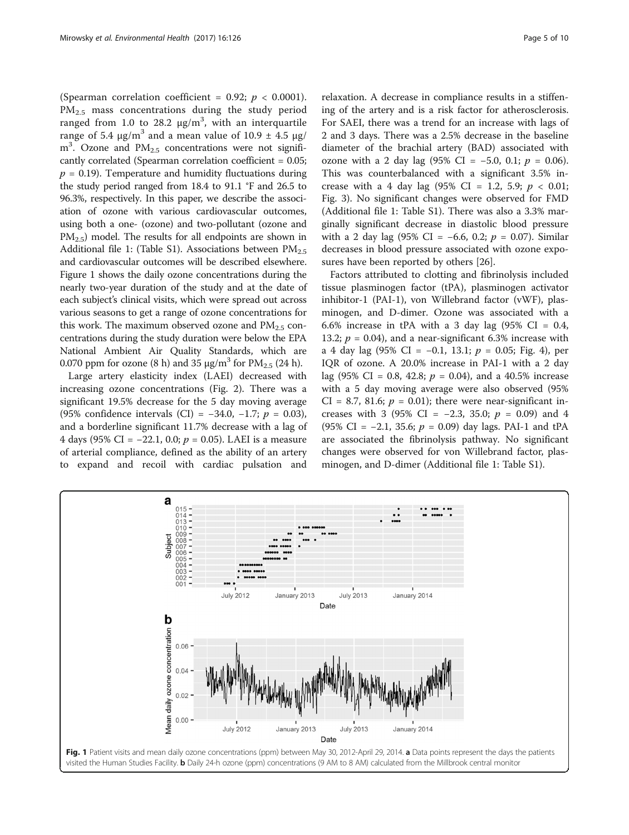<span id="page-4-0"></span>(Spearman correlation coefficient = 0.92;  $p < 0.0001$ ).  $PM_{2.5}$  mass concentrations during the study period ranged from 1.0 to 28.2  $\mu$ g/m<sup>3</sup>, with an interquartile range of 5.4 μg/m<sup>3</sup> and a mean value of 10.9  $\pm$  4.5 μg/  $m<sup>3</sup>$ . Ozone and PM<sub>2.5</sub> concentrations were not significantly correlated (Spearman correlation coefficient = 0.05;  $p = 0.19$ . Temperature and humidity fluctuations during the study period ranged from 18.4 to 91.1 °F and 26.5 to 96.3%, respectively. In this paper, we describe the association of ozone with various cardiovascular outcomes, using both a one- (ozone) and two-pollutant (ozone and  $PM_{2.5}$ ) model. The results for all endpoints are shown in Additional file [1](#page-8-0): (Table S1). Associations between  $PM_{2.5}$ and cardiovascular outcomes will be described elsewhere. Figure 1 shows the daily ozone concentrations during the nearly two-year duration of the study and at the date of each subject's clinical visits, which were spread out across various seasons to get a range of ozone concentrations for this work. The maximum observed ozone and  $PM_{2.5}$  concentrations during the study duration were below the EPA National Ambient Air Quality Standards, which are 0.070 ppm for ozone (8 h) and 35  $\mu$ g/m<sup>3</sup> for PM<sub>2.5</sub> (24 h).

Large artery elasticity index (LAEI) decreased with increasing ozone concentrations (Fig. [2](#page-5-0)). There was a significant 19.5% decrease for the 5 day moving average (95% confidence intervals (CI) =  $-34.0, -1.7; p = 0.03$ ), and a borderline significant 11.7% decrease with a lag of 4 days (95% CI =  $-22.1$ , 0.0;  $p = 0.05$ ). LAEI is a measure of arterial compliance, defined as the ability of an artery to expand and recoil with cardiac pulsation and

relaxation. A decrease in compliance results in a stiffening of the artery and is a risk factor for atherosclerosis. For SAEI, there was a trend for an increase with lags of 2 and 3 days. There was a 2.5% decrease in the baseline diameter of the brachial artery (BAD) associated with ozone with a 2 day lag (95% CI =  $-5.0$ , 0.1;  $p = 0.06$ ). This was counterbalanced with a significant 3.5% increase with a 4 day lag  $(95\% \text{ CI} = 1.2, 5.9; p < 0.01;$ Fig. [3](#page-5-0)). No significant changes were observed for FMD (Additional file [1:](#page-8-0) Table S1). There was also a 3.3% marginally significant decrease in diastolic blood pressure with a 2 day lag (95% CI =  $-6.6$ , 0.2;  $p = 0.07$ ). Similar decreases in blood pressure associated with ozone exposures have been reported by others [\[26\]](#page-9-0).

Factors attributed to clotting and fibrinolysis included tissue plasminogen factor (tPA), plasminogen activator inhibitor-1 (PAI-1), von Willebrand factor (vWF), plasminogen, and D-dimer. Ozone was associated with a 6.6% increase in tPA with a 3 day lag  $(95\% \text{ CI} = 0.4,$ 13.2;  $p = 0.04$ ), and a near-significant 6.3% increase with a 4 day lag (95% CI = −0.1, 13.1;  $p = 0.05$ ; Fig. [4\)](#page-6-0), per IQR of ozone. A 20.0% increase in PAI-1 with a 2 day lag (95% CI = 0.8, 42.8;  $p = 0.04$ ), and a 40.5% increase with a 5 day moving average were also observed (95% CI = 8.7, 81.6;  $p = 0.01$ ); there were near-significant increases with 3 (95% CI = -2.3, 35.0;  $p = 0.09$ ) and 4 (95% CI =  $-2.1$ , 35.6;  $p = 0.09$ ) day lags. PAI-1 and tPA are associated the fibrinolysis pathway. No significant changes were observed for von Willebrand factor, plasminogen, and D-dimer (Additional file [1:](#page-8-0) Table S1).

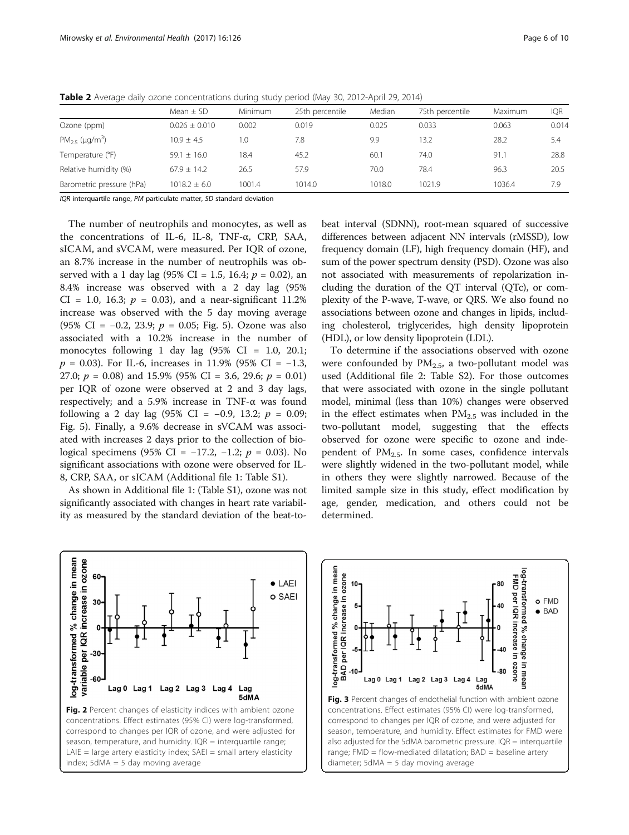|                                | Mean $\pm$ SD     | Minimum | 25th percentile | Median | 75th percentile | Maximum | <b>IQR</b> |
|--------------------------------|-------------------|---------|-----------------|--------|-----------------|---------|------------|
| Ozone (ppm)                    | $0.026 \pm 0.010$ | 0.002   | 0.019           | 0.025  | 0.033           | 0.063   | 0.014      |
| $PM_{25}$ (µg/m <sup>3</sup> ) | $10.9 + 4.5$      | 1.0     | 7.8             | 9.9    | 13.2            | 28.2    | 5.4        |
| Temperature (°F)               | $59.1 + 16.0$     | 18.4    | 45.2            | 60.1   | 74.0            | 91.1    | 28.8       |
| Relative humidity (%)          | $67.9 + 14.2$     | 26.5    | 57.9            | 70.0   | 78.4            | 96.3    | 20.5       |
| Barometric pressure (hPa)      | $1018.2 \pm 6.0$  | 1001.4  | 1014.0          | 1018.0 | 1021.9          | 1036.4  | 7.9        |

<span id="page-5-0"></span>Table 2 Average daily ozone concentrations during study period (May 30, 2012-April 29, 2014)

IQR interquartile range, PM particulate matter, SD standard deviation

The number of neutrophils and monocytes, as well as the concentrations of IL-6, IL-8, TNF-α, CRP, SAA, sICAM, and sVCAM, were measured. Per IQR of ozone, an 8.7% increase in the number of neutrophils was observed with a 1 day lag (95% CI = 1.5, 16.4;  $p = 0.02$ ), an 8.4% increase was observed with a 2 day lag (95%  $CI = 1.0, 16.3; p = 0.03$ , and a near-significant 11.2% increase was observed with the 5 day moving average (95% CI =  $-0.2$ , 23.9;  $p = 0.05$ ; Fig. [5\)](#page-6-0). Ozone was also associated with a 10.2% increase in the number of monocytes following 1 day lag (95% CI = 1.0, 20.1;  $p = 0.03$ ). For IL-6, increases in 11.9% (95% CI = -1.3, 27.0;  $p = 0.08$ ) and 15.9% (95% CI = 3.6, 29.6;  $p = 0.01$ ) per IQR of ozone were observed at 2 and 3 day lags, respectively; and a 5.9% increase in TNF- $\alpha$  was found following a 2 day lag (95% CI = -0.9, 13.2;  $p = 0.09$ ; Fig. [5](#page-6-0)). Finally, a 9.6% decrease in sVCAM was associated with increases 2 days prior to the collection of biological specimens (95% CI = −17.2, −1.2;  $p = 0.03$ ). No significant associations with ozone were observed for IL-8, CRP, SAA, or sICAM (Additional file [1](#page-8-0): Table S1).

As shown in Additional file [1](#page-8-0): (Table S1), ozone was not significantly associated with changes in heart rate variability as measured by the standard deviation of the beat-tobeat interval (SDNN), root-mean squared of successive differences between adjacent NN intervals (rMSSD), low frequency domain (LF), high frequency domain (HF), and sum of the power spectrum density (PSD). Ozone was also not associated with measurements of repolarization including the duration of the QT interval (QTc), or complexity of the P-wave, T-wave, or QRS. We also found no associations between ozone and changes in lipids, including cholesterol, triglycerides, high density lipoprotein (HDL), or low density lipoprotein (LDL).

To determine if the associations observed with ozone were confounded by  $PM_{2.5}$ , a two-pollutant model was used (Additional file [2:](#page-8-0) Table S2). For those outcomes that were associated with ozone in the single pollutant model, minimal (less than 10%) changes were observed in the effect estimates when  $PM_{2.5}$  was included in the two-pollutant model, suggesting that the effects observed for ozone were specific to ozone and independent of  $PM_{2.5}$ . In some cases, confidence intervals were slightly widened in the two-pollutant model, while in others they were slightly narrowed. Because of the limited sample size in this study, effect modification by age, gender, medication, and others could not be determined.



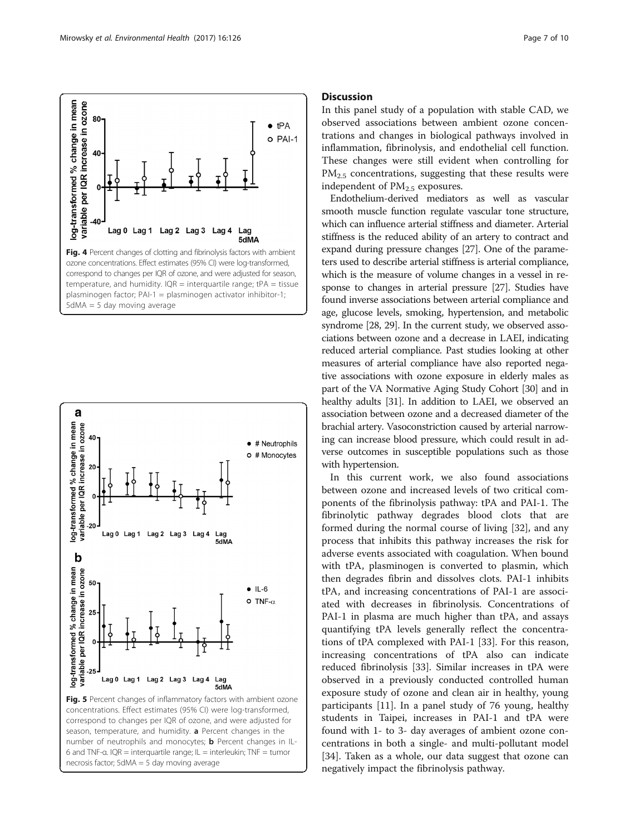<span id="page-6-0"></span>



necrosis factor; 5dMA = 5 day moving average

## **Discussion**

In this panel study of a population with stable CAD, we observed associations between ambient ozone concentrations and changes in biological pathways involved in inflammation, fibrinolysis, and endothelial cell function. These changes were still evident when controlling for  $PM<sub>2.5</sub>$  concentrations, suggesting that these results were independent of  $PM<sub>2.5</sub>$  exposures.

Endothelium-derived mediators as well as vascular smooth muscle function regulate vascular tone structure, which can influence arterial stiffness and diameter. Arterial stiffness is the reduced ability of an artery to contract and expand during pressure changes [\[27\]](#page-9-0). One of the parameters used to describe arterial stiffness is arterial compliance, which is the measure of volume changes in a vessel in response to changes in arterial pressure [[27](#page-9-0)]. Studies have found inverse associations between arterial compliance and age, glucose levels, smoking, hypertension, and metabolic syndrome [[28](#page-9-0), [29\]](#page-9-0). In the current study, we observed associations between ozone and a decrease in LAEI, indicating reduced arterial compliance. Past studies looking at other measures of arterial compliance have also reported negative associations with ozone exposure in elderly males as part of the VA Normative Aging Study Cohort [\[30\]](#page-9-0) and in healthy adults [\[31\]](#page-9-0). In addition to LAEI, we observed an association between ozone and a decreased diameter of the brachial artery. Vasoconstriction caused by arterial narrowing can increase blood pressure, which could result in adverse outcomes in susceptible populations such as those with hypertension.

In this current work, we also found associations between ozone and increased levels of two critical components of the fibrinolysis pathway: tPA and PAI-1. The fibrinolytic pathway degrades blood clots that are formed during the normal course of living [\[32](#page-9-0)], and any process that inhibits this pathway increases the risk for adverse events associated with coagulation. When bound with tPA, plasminogen is converted to plasmin, which then degrades fibrin and dissolves clots. PAI-1 inhibits tPA, and increasing concentrations of PAI-1 are associated with decreases in fibrinolysis. Concentrations of PAI-1 in plasma are much higher than tPA, and assays quantifying tPA levels generally reflect the concentrations of tPA complexed with PAI-1 [\[33\]](#page-9-0). For this reason, increasing concentrations of tPA also can indicate reduced fibrinolysis [[33](#page-9-0)]. Similar increases in tPA were observed in a previously conducted controlled human exposure study of ozone and clean air in healthy, young participants [[11\]](#page-9-0). In a panel study of 76 young, healthy students in Taipei, increases in PAI-1 and tPA were found with 1- to 3- day averages of ambient ozone concentrations in both a single- and multi-pollutant model [[34\]](#page-9-0). Taken as a whole, our data suggest that ozone can negatively impact the fibrinolysis pathway.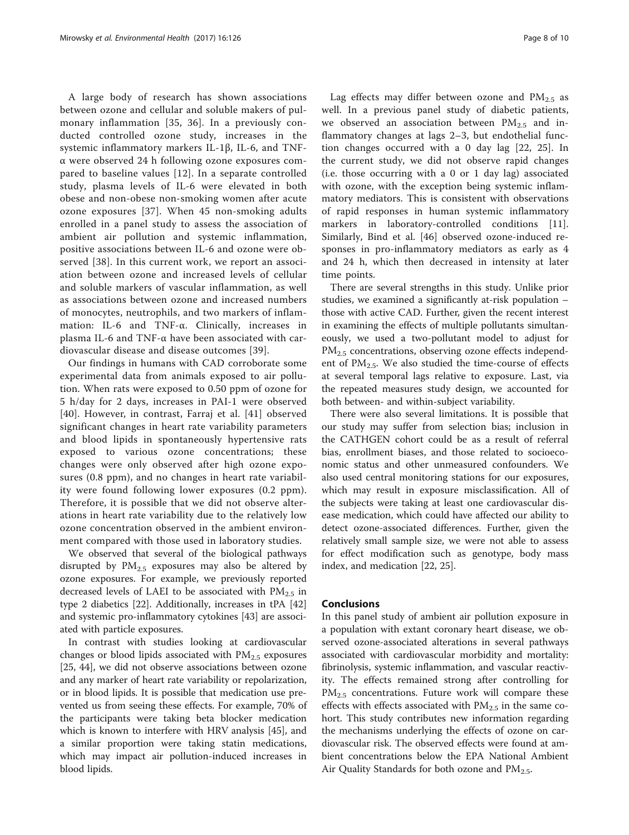A large body of research has shown associations between ozone and cellular and soluble makers of pulmonary inflammation [[35](#page-9-0), [36\]](#page-9-0). In a previously conducted controlled ozone study, increases in the systemic inflammatory markers IL-1β, IL-6, and TNFα were observed 24 h following ozone exposures compared to baseline values [[12\]](#page-9-0). In a separate controlled study, plasma levels of IL-6 were elevated in both obese and non-obese non-smoking women after acute ozone exposures [\[37\]](#page-9-0). When 45 non-smoking adults enrolled in a panel study to assess the association of ambient air pollution and systemic inflammation, positive associations between IL-6 and ozone were observed [[38](#page-9-0)]. In this current work, we report an association between ozone and increased levels of cellular and soluble markers of vascular inflammation, as well as associations between ozone and increased numbers of monocytes, neutrophils, and two markers of inflammation: IL-6 and TNF-α. Clinically, increases in plasma IL-6 and TNF-α have been associated with cardiovascular disease and disease outcomes [\[39\]](#page-9-0).

Our findings in humans with CAD corroborate some experimental data from animals exposed to air pollution. When rats were exposed to 0.50 ppm of ozone for 5 h/day for 2 days, increases in PAI-1 were observed [[40](#page-9-0)]. However, in contrast, Farraj et al. [[41](#page-9-0)] observed significant changes in heart rate variability parameters and blood lipids in spontaneously hypertensive rats exposed to various ozone concentrations; these changes were only observed after high ozone exposures (0.8 ppm), and no changes in heart rate variability were found following lower exposures (0.2 ppm). Therefore, it is possible that we did not observe alterations in heart rate variability due to the relatively low ozone concentration observed in the ambient environment compared with those used in laboratory studies.

We observed that several of the biological pathways disrupted by  $PM_{2.5}$  exposures may also be altered by ozone exposures. For example, we previously reported decreased levels of LAEI to be associated with  $PM_{2.5}$  in type 2 diabetics [[22](#page-9-0)]. Additionally, increases in tPA [[42](#page-9-0)] and systemic pro-inflammatory cytokines [[43](#page-9-0)] are associated with particle exposures.

In contrast with studies looking at cardiovascular changes or blood lipids associated with  $PM<sub>2.5</sub>$  exposures [[25, 44](#page-9-0)], we did not observe associations between ozone and any marker of heart rate variability or repolarization, or in blood lipids. It is possible that medication use prevented us from seeing these effects. For example, 70% of the participants were taking beta blocker medication which is known to interfere with HRV analysis [[45\]](#page-9-0), and a similar proportion were taking statin medications, which may impact air pollution-induced increases in blood lipids.

Lag effects may differ between ozone and  $PM_{2.5}$  as well. In a previous panel study of diabetic patients, we observed an association between  $PM_{2.5}$  and inflammatory changes at lags 2–3, but endothelial function changes occurred with a 0 day lag [\[22](#page-9-0), [25\]](#page-9-0). In the current study, we did not observe rapid changes (i.e. those occurring with a 0 or 1 day lag) associated with ozone, with the exception being systemic inflammatory mediators. This is consistent with observations of rapid responses in human systemic inflammatory markers in laboratory-controlled conditions [\[11](#page-9-0)]. Similarly, Bind et al. [\[46](#page-9-0)] observed ozone-induced responses in pro-inflammatory mediators as early as 4 and 24 h, which then decreased in intensity at later time points.

There are several strengths in this study. Unlike prior studies, we examined a significantly at-risk population – those with active CAD. Further, given the recent interest in examining the effects of multiple pollutants simultaneously, we used a two-pollutant model to adjust for PM<sub>2.5</sub> concentrations, observing ozone effects independent of  $PM_{2.5}$ . We also studied the time-course of effects at several temporal lags relative to exposure. Last, via the repeated measures study design, we accounted for both between- and within-subject variability.

There were also several limitations. It is possible that our study may suffer from selection bias; inclusion in the CATHGEN cohort could be as a result of referral bias, enrollment biases, and those related to socioeconomic status and other unmeasured confounders. We also used central monitoring stations for our exposures, which may result in exposure misclassification. All of the subjects were taking at least one cardiovascular disease medication, which could have affected our ability to detect ozone-associated differences. Further, given the relatively small sample size, we were not able to assess for effect modification such as genotype, body mass index, and medication [[22, 25\]](#page-9-0).

## Conclusions

In this panel study of ambient air pollution exposure in a population with extant coronary heart disease, we observed ozone-associated alterations in several pathways associated with cardiovascular morbidity and mortality: fibrinolysis, systemic inflammation, and vascular reactivity. The effects remained strong after controlling for  $PM<sub>2.5</sub>$  concentrations. Future work will compare these effects with effects associated with  $PM_{2.5}$  in the same cohort. This study contributes new information regarding the mechanisms underlying the effects of ozone on cardiovascular risk. The observed effects were found at ambient concentrations below the EPA National Ambient Air Quality Standards for both ozone and  $PM_{2.5}$ .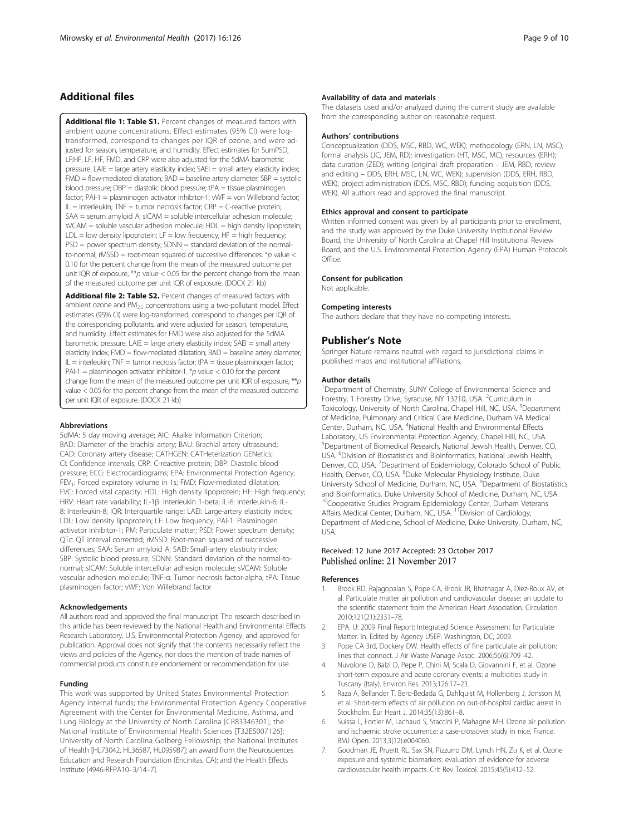## <span id="page-8-0"></span>Additional files

[Additional file 1: Table S1.](dx.doi.org/10.1186/s12940-017-0335-0) Percent changes of measured factors with ambient ozone concentrations. Effect estimates (95% CI) were logtransformed, correspond to changes per IQR of ozone, and were adjusted for season, temperature, and humidity. Effect estimates for SumPSD, LF:HF, LF, HF, FMD, and CRP were also adjusted for the 5dMA barometric pressure. LAIE = large artery elasticity index;  $SAEI = small$  artery elasticity index;  $FMD = flow-mediated dilation; BAD = baseline artery diameter; SBP = systolic$ blood pressure; DBP = diastolic blood pressure; tPA = tissue plasminogen factor; PAI-1 = plasminogen activator inhibitor-1;  $vWF = von$  Willebrand factor;  $IL =$  interleukin; TNF = tumor necrosis factor; CRP = C-reactive protein; SAA = serum amyloid A; sICAM = soluble intercellular adhesion molecule; sVCAM = soluble vascular adhesion molecule; HDL = high density lipoprotein;  $LDL = low$  density lipoprotein;  $LF = low$  frequency;  $HF = high$  frequency;  $PSD = power spectrum density$ ; SDNN = standard deviation of the normalto-normal; rMSSD = root-mean squared of successive differences. \*p value  $\lt$ 0.10 for the percent change from the mean of the measured outcome per unit IQR of exposure,  $*p$  value < 0.05 for the percent change from the mean of the measured outcome per unit IQR of exposure. (DOCX 21 kb)

[Additional file 2: Table S2.](dx.doi.org/10.1186/s12940-017-0335-0) Percent changes of measured factors with ambient ozone and PM<sub>2.5</sub> concentrations using a two-pollutant model. Effect estimates (95% CI) were log-transformed, correspond to changes per IQR of the corresponding pollutants, and were adjusted for season, temperature, and humidity. Effect estimates for FMD were also adjusted for the 5dMA barometric pressure. LAIE = large artery elasticity index; SAEI = small artery elasticity index; FMD = flow-mediated dilatation; BAD = baseline artery diameter;  $IL =$  interleukin; TNF = tumor necrosis factor; tPA = tissue plasminogen factor; PAI-1 = plasminogen activator inhibitor-1. \*p value < 0.10 for the percent change from the mean of the measured outcome per unit IQR of exposure,  $**p$ value < 0.05 for the percent change from the mean of the measured outcome per unit IQR of exposure. (DOCX 21 kb)

## Abbreviations

5dMA: 5 day moving average; AIC: Akaike Information Criterion; BAD: Diameter of the brachial artery; BAU: Brachial artery ultrasound; CAD: Coronary artery disease; CATHGEN: CATHeterization GENetics; CI: Confidence intervals; CRP: C-reactive protein; DBP: Diastolic blood pressure; ECG: Electrocardiograms; EPA: Environmental Protection Agency; FEV1: Forced expiratory volume in 1s; FMD: Flow-mediated dilatation; FVC: Forced vital capacity; HDL: High density lipoprotein; HF: High frequency; HRV: Heart rate variability; IL-1β: Interleukin 1-beta; IL-6: Interleukin-6; IL-8: Interleukin-8; IQR: Interquartile range; LAEI: Large-artery elasticity index; LDL: Low density lipoprotein; LF: Low frequency; PAI-1: Plasminogen activator inhibitor-1; PM: Particulate matter; PSD: Power spectrum density; QTc: QT interval corrected; rMSSD: Root-mean squared of successive differences; SAA: Serum amyloid A; SAEI: Small-artery elasticity index; SBP: Systolic blood pressure; SDNN: Standard deviation of the normal-tonormal; sICAM: Soluble intercellular adhesion molecule; sVCAM: Soluble vascular adhesion molecule; TNF-α: Tumor necrosis factor-alpha; tPA: Tissue plasminogen factor; vWF: Von Willebrand factor

#### Acknowledgements

All authors read and approved the final manuscript. The research described in this article has been reviewed by the National Health and Environmental Effects Research Laboratory, U.S. Environmental Protection Agency, and approved for publication. Approval does not signify that the contents necessarily reflect the views and policies of the Agency, nor does the mention of trade names of commercial products constitute endorsement or recommendation for use.

## Funding

This work was supported by United States Environmental Protection Agency internal funds; the Environmental Protection Agency Cooperative Agreement with the Center for Environmental Medicine, Asthma, and Lung Biology at the University of North Carolina [CR83346301]; the National Institute of Environmental Health Sciences [T32ES007126]; University of North Carolina Golberg Fellowship; the National Institutes of Health [HL73042, HL36587, HL095987]; an award from the Neurosciences Education and Research Foundation (Encinitas, CA); and the Health Effects Institute [4946-RFPA10–3/14–7].

## Availability of data and materials

The datasets used and/or analyzed during the current study are available from the corresponding author on reasonable request.

#### Authors' contributions

Conceptualization (DDS, MSC, RBD, WC, WEK); methodology (ERN, LN, MSC); formal analysis (JC, JEM, RD); investigation (HT, MSC, MC); resources (ERH); data curation (ZED); writing (original draft preparation – JEM, RBD; review and editing – DDS, ERH, MSC, LN, WC, WEK); supervision (DDS, ERH, RBD, WEK); project administration (DDS, MSC, RBD); funding acquisition (DDS, WEK). All authors read and approved the final manuscript.

## Ethics approval and consent to participate

Written informed consent was given by all participants prior to enrollment, and the study was approved by the Duke University Institutional Review Board, the University of North Carolina at Chapel Hill Institutional Review Board, and the U.S. Environmental Protection Agency (EPA) Human Protocols Office.

## Consent for publication

Not applicable.

## Competing interests

The authors declare that they have no competing interests.

## Publisher's Note

Springer Nature remains neutral with regard to jurisdictional claims in published maps and institutional affiliations.

#### Author details

<sup>1</sup>Department of Chemistry, SUNY College of Environmental Science and Forestry, 1 Forestry Drive, Syracuse, NY 13210, USA. <sup>2</sup>Curriculum in Toxicology, University of North Carolina, Chapel Hill, NC, USA. <sup>3</sup>Department of Medicine, Pulmonary and Critical Care Medicine, Durham VA Medical Center, Durham, NC, USA. <sup>4</sup>National Health and Environmental Effects Laboratory, US Environmental Protection Agency, Chapel Hill, NC, USA. 5 Department of Biomedical Research, National Jewish Health, Denver, CO, USA. <sup>6</sup>Division of Biostatistics and Bioinformatics, National Jewish Health, Denver, CO, USA. <sup>7</sup>Department of Epidemiology, Colorado School of Public Health, Denver, CO, USA. <sup>8</sup>Duke Molecular Physiology Institute, Duke University School of Medicine, Durham, NC, USA. <sup>9</sup>Department of Biostatistics and Bioinformatics, Duke University School of Medicine, Durham, NC, USA. <sup>10</sup>Cooperative Studies Program Epidemiology Center, Durham Veterans Affairs Medical Center, Durham, NC, USA. <sup>11</sup> Division of Cardiology, Department of Medicine, School of Medicine, Duke University, Durham, NC, USA.

## Received: 12 June 2017 Accepted: 23 October 2017<br>Published online: 21 November 2017

#### References

- 1. Brook RD, Rajagopalan S, Pope CA, Brook JR, Bhatnagar A, Diez-Roux AV, et al. Particulate matter air pollution and cardiovascular disease: an update to the scientific statement from the American Heart Association. Circulation. 2010;121(21):2331–78.
- 2. EPA. U: 2009 Final Report: Integrated Science Assessment for Particulate Matter. In. Edited by Agency USEP. Washington, DC; 2009.
- Pope CA 3rd, Dockery DW. Health effects of fine particulate air pollution: lines that connect. J Air Waste Manage Assoc. 2006;56(6):709–42.
- 4. Nuvolone D, Balzi D, Pepe P, Chini M, Scala D, Giovannini F, et al. Ozone short-term exposure and acute coronary events: a multicities study in Tuscany (Italy). Environ Res. 2013;126:17–23.
- 5. Raza A, Bellander T, Bero-Bedada G, Dahlquist M, Hollenberg J, Jonsson M, et al. Short-term effects of air pollution on out-of-hospital cardiac arrest in Stockholm. Eur Heart J. 2014;35(13):861–8.
- 6. Suissa L, Fortier M, Lachaud S, Staccini P, Mahagne MH. Ozone air pollution and ischaemic stroke occurrence: a case-crossover study in nice, France. BMJ Open. 2013;3(12):e004060.
- 7. Goodman JE, Prueitt RL, Sax SN, Pizzurro DM, Lynch HN, Zu K, et al. Ozone exposure and systemic biomarkers: evaluation of evidence for adverse cardiovascular health impacts. Crit Rev Toxicol. 2015;45(5):412–52.